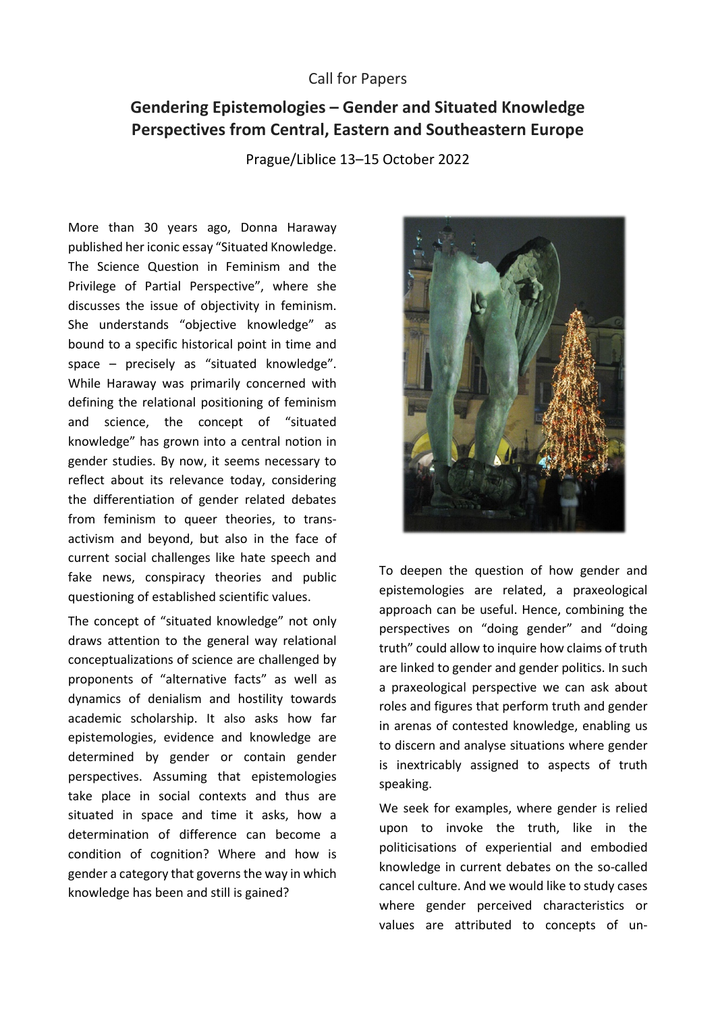## Call for Papers

## **Gendering Epistemologies – Gender and Situated Knowledge Perspectives from Central, Eastern and Southeastern Europe**

Prague/Liblice 13–15 October 2022

More than 30 years ago, Donna Haraway published her iconic essay "Situated Knowledge. The Science Question in Feminism and the Privilege of Partial Perspective", where she discusses the issue of objectivity in feminism. She understands "objective knowledge" as bound to a specific historical point in time and space – precisely as "situated knowledge". While Haraway was primarily concerned with defining the relational positioning of feminism and science, the concept of "situated knowledge" has grown into a central notion in gender studies. By now, it seems necessary to reflect about its relevance today, considering the differentiation of gender related debates from feminism to queer theories, to transactivism and beyond, but also in the face of current social challenges like hate speech and fake news, conspiracy theories and public questioning of established scientific values.

The concept of "situated knowledge" not only draws attention to the general way relational conceptualizations of science are challenged by proponents of "alternative facts" as well as dynamics of denialism and hostility towards academic scholarship. It also asks how far epistemologies, evidence and knowledge are determined by gender or contain gender perspectives. Assuming that epistemologies take place in social contexts and thus are situated in space and time it asks, how a determination of difference can become a condition of cognition? Where and how is gender a category that governs the way in which knowledge has been and still is gained?



To deepen the question of how gender and epistemologies are related, a praxeological approach can be useful. Hence, combining the perspectives on "doing gender" and "doing truth" could allow to inquire how claims of truth are linked to gender and gender politics. In such a praxeological perspective we can ask about roles and figures that perform truth and gender in arenas of contested knowledge, enabling us to discern and analyse situations where gender is inextricably assigned to aspects of truth speaking.

We seek for examples, where gender is relied upon to invoke the truth, like in the politicisations of experiential and embodied knowledge in current debates on the so-called cancel culture. And we would like to study cases where gender perceived characteristics or values are attributed to concepts of un